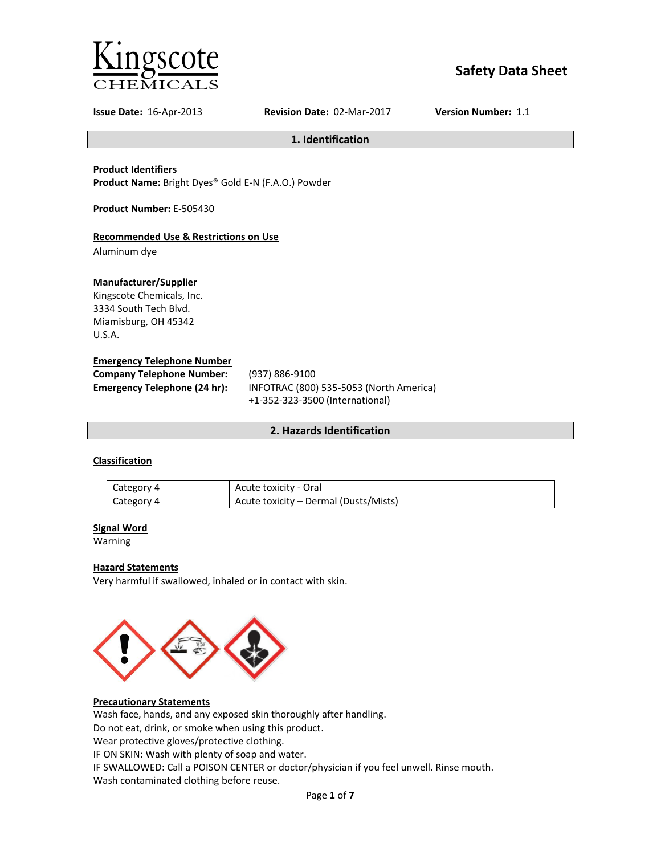

# **Safety Data Sheet**

**Issue Date:** 16-Apr-2013 **Revision Date:** 02-Mar-2017 **Version Number:** 1.1

**1. Identification**

## **Product Identifiers**

**Product Name:** Bright Dyes® Gold E-N (F.A.O.) Powder

**Product Number:** E-505430

## **Recommended Use & Restrictions on Use**

Aluminum dye

### **Manufacturer/Supplier**

Kingscote Chemicals, Inc. 3334 South Tech Blvd. Miamisburg, OH 45342 U.S.A.

#### **Emergency Telephone Number**

| <b>Company Telephone Number:</b> | (937) 886-9100                          |
|----------------------------------|-----------------------------------------|
| Emergency Telephone (24 hr):     | INFOTRAC (800) 535-5053 (North America) |
|                                  | +1-352-323-3500 (International)         |

## **2. Hazards Identification**

# **Classification**

| Category 4 | Acute toxicity - Oral                 |
|------------|---------------------------------------|
| Category 4 | Acute toxicity – Dermal (Dusts/Mists) |

# **Signal Word**

Warning

#### **Hazard Statements**

Very harmful if swallowed, inhaled or in contact with skin.



# **Precautionary Statements**

Wash face, hands, and any exposed skin thoroughly after handling.

Do not eat, drink, or smoke when using this product.

Wear protective gloves/protective clothing.

IF ON SKIN: Wash with plenty of soap and water.

IF SWALLOWED: Call a POISON CENTER or doctor/physician if you feel unwell. Rinse mouth.

Wash contaminated clothing before reuse.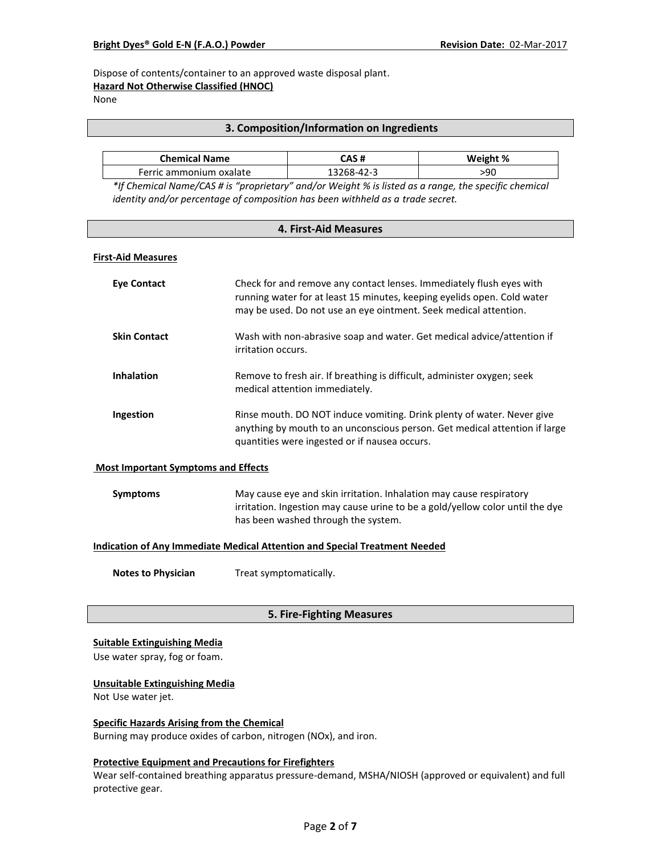Dispose of contents/container to an approved waste disposal plant.

# **Hazard Not Otherwise Classified (HNOC)**

None

# **3. Composition/Information on Ingredients**

| <b>Chemical Name</b>      | CAS #      | Weight % |
|---------------------------|------------|----------|
| - Ferric ammonium oxalate | 13268-42-? | 90ء      |

*\*If Chemical Name/CAS # is "proprietary" and/or Weight % is listed as a range, the specific chemical identity and/or percentage of composition has been withheld as a trade secret.*

| 4. First-Aid Measures                                                             |                                                                                                                                                                                                                     |  |
|-----------------------------------------------------------------------------------|---------------------------------------------------------------------------------------------------------------------------------------------------------------------------------------------------------------------|--|
| <b>First-Aid Measures</b>                                                         |                                                                                                                                                                                                                     |  |
| <b>Eye Contact</b>                                                                | Check for and remove any contact lenses. Immediately flush eyes with<br>running water for at least 15 minutes, keeping eyelids open. Cold water<br>may be used. Do not use an eye ointment. Seek medical attention. |  |
| <b>Skin Contact</b>                                                               | Wash with non-abrasive soap and water. Get medical advice/attention if<br>irritation occurs.                                                                                                                        |  |
| <b>Inhalation</b>                                                                 | Remove to fresh air. If breathing is difficult, administer oxygen; seek<br>medical attention immediately.                                                                                                           |  |
| Ingestion                                                                         | Rinse mouth. DO NOT induce vomiting. Drink plenty of water. Never give<br>anything by mouth to an unconscious person. Get medical attention if large<br>quantities were ingested or if nausea occurs.               |  |
| <b>Most Important Symptoms and Effects</b>                                        |                                                                                                                                                                                                                     |  |
| <b>Symptoms</b>                                                                   | May cause eye and skin irritation. Inhalation may cause respiratory<br>irritation. Ingestion may cause urine to be a gold/yellow color until the dye<br>has been washed through the system.                         |  |
| <b>Indication of Any Immediate Medical Attention and Special Treatment Needed</b> |                                                                                                                                                                                                                     |  |
| <b>Notes to Physician</b>                                                         | Treat symptomatically.                                                                                                                                                                                              |  |
|                                                                                   |                                                                                                                                                                                                                     |  |

# **5. Fire-Fighting Measures**

#### **Suitable Extinguishing Media**

Use water spray, fog or foam.

#### **Unsuitable Extinguishing Media**

Not Use water jet.

# **Specific Hazards Arising from the Chemical**

Burning may produce oxides of carbon, nitrogen (NOx), and iron.

#### **Protective Equipment and Precautions for Firefighters**

Wear self-contained breathing apparatus pressure-demand, MSHA/NIOSH (approved or equivalent) and full protective gear.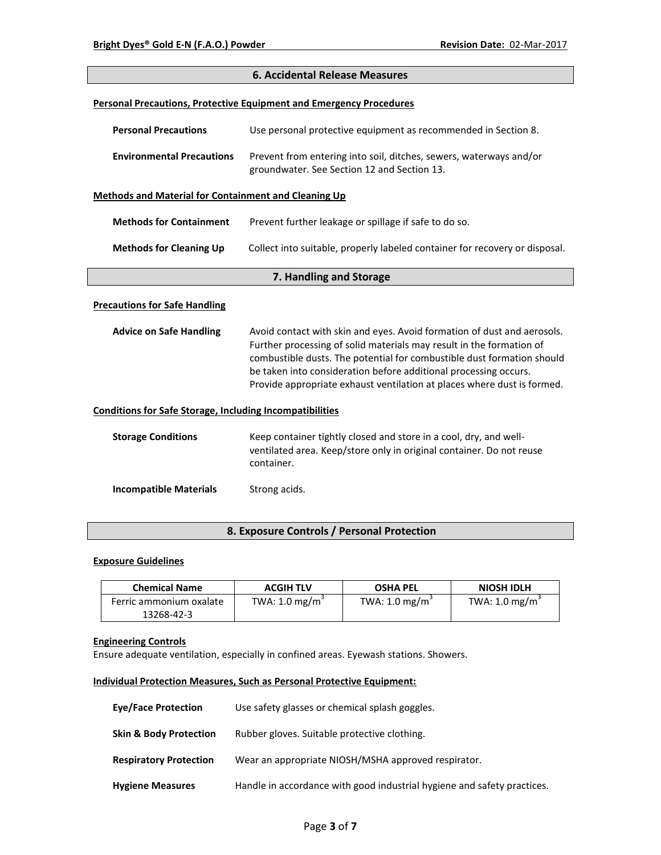| <b>6. Accidental Release Measures</b>                                      |                                                                                                                                                                                                                                                                                                                                                                          |  |
|----------------------------------------------------------------------------|--------------------------------------------------------------------------------------------------------------------------------------------------------------------------------------------------------------------------------------------------------------------------------------------------------------------------------------------------------------------------|--|
| <b>Personal Precautions, Protective Equipment and Emergency Procedures</b> |                                                                                                                                                                                                                                                                                                                                                                          |  |
| <b>Personal Precautions</b>                                                | Use personal protective equipment as recommended in Section 8.                                                                                                                                                                                                                                                                                                           |  |
| <b>Environmental Precautions</b>                                           | Prevent from entering into soil, ditches, sewers, waterways and/or<br>groundwater. See Section 12 and Section 13.                                                                                                                                                                                                                                                        |  |
| Methods and Material for Containment and Cleaning Up                       |                                                                                                                                                                                                                                                                                                                                                                          |  |
| <b>Methods for Containment</b>                                             | Prevent further leakage or spillage if safe to do so.                                                                                                                                                                                                                                                                                                                    |  |
| <b>Methods for Cleaning Up</b>                                             | Collect into suitable, properly labeled container for recovery or disposal.                                                                                                                                                                                                                                                                                              |  |
|                                                                            | 7. Handling and Storage                                                                                                                                                                                                                                                                                                                                                  |  |
| <b>Precautions for Safe Handling</b>                                       |                                                                                                                                                                                                                                                                                                                                                                          |  |
| <b>Advice on Safe Handling</b>                                             | Avoid contact with skin and eyes. Avoid formation of dust and aerosols.<br>Further processing of solid materials may result in the formation of<br>combustible dusts. The potential for combustible dust formation should<br>be taken into consideration before additional processing occurs.<br>Provide appropriate exhaust ventilation at places where dust is formed. |  |
| <b>Conditions for Safe Storage, Including Incompatibilities</b>            |                                                                                                                                                                                                                                                                                                                                                                          |  |
| <b>Storage Conditions</b>                                                  | Keep container tightly closed and store in a cool, dry, and well-<br>ventilated area. Keep/store only in original container. Do not reuse<br>container.                                                                                                                                                                                                                  |  |
| <b>Incompatible Materials</b>                                              | Strong acids.                                                                                                                                                                                                                                                                                                                                                            |  |

# **8. Exposure Controls / Personal Protection**

#### **Exposure Guidelines**

| <b>Chemical Name</b>    | <b>ACGIH TLV</b>           | <b>OSHA PEL</b>           | <b>NIOSH IDLH</b>          |
|-------------------------|----------------------------|---------------------------|----------------------------|
| Ferric ammonium oxalate | TWA: 1.0 mg/m <sup>3</sup> | TWA: $1.0 \text{ mg/m}^3$ | TWA: 1.0 mg/m <sup>3</sup> |
| 13268-42-3              |                            |                           |                            |

# **Engineering Controls**

Ensure adequate ventilation, especially in confined areas. Eyewash stations. Showers.

# **Individual Protection Measures, Such as Personal Protective Equipment:**

| <b>Eye/Face Protection</b>        | Use safety glasses or chemical splash goggles.                          |
|-----------------------------------|-------------------------------------------------------------------------|
| <b>Skin &amp; Body Protection</b> | Rubber gloves. Suitable protective clothing.                            |
| <b>Respiratory Protection</b>     | Wear an appropriate NIOSH/MSHA approved respirator.                     |
| <b>Hygiene Measures</b>           | Handle in accordance with good industrial hygiene and safety practices. |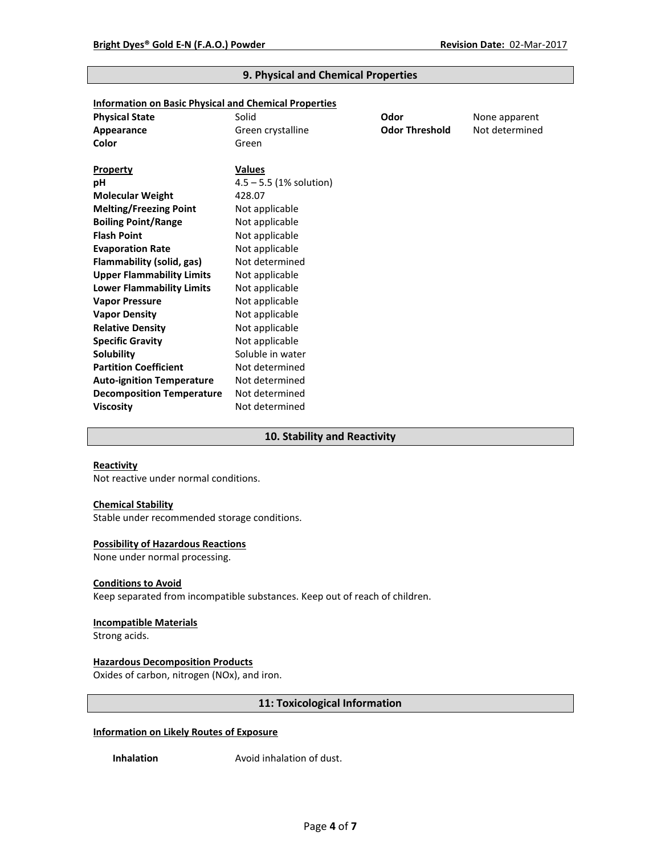| <b>Information on Basic Physical and Chemical Properties</b> |                           |                       |                |
|--------------------------------------------------------------|---------------------------|-----------------------|----------------|
| <b>Physical State</b>                                        | Solid                     | Odor                  | None apparent  |
| Appearance                                                   | Green crystalline         | <b>Odor Threshold</b> | Not determined |
| Color                                                        | Green                     |                       |                |
|                                                              |                           |                       |                |
| <b>Property</b>                                              | <b>Values</b>             |                       |                |
| рH                                                           | $4.5 - 5.5$ (1% solution) |                       |                |
| <b>Molecular Weight</b>                                      | 428.07                    |                       |                |
| <b>Melting/Freezing Point</b>                                | Not applicable            |                       |                |
| <b>Boiling Point/Range</b>                                   | Not applicable            |                       |                |
| <b>Flash Point</b>                                           | Not applicable            |                       |                |
| <b>Evaporation Rate</b>                                      | Not applicable            |                       |                |
| Flammability (solid, gas)                                    | Not determined            |                       |                |
| <b>Upper Flammability Limits</b>                             | Not applicable            |                       |                |
| <b>Lower Flammability Limits</b>                             | Not applicable            |                       |                |
| <b>Vapor Pressure</b>                                        | Not applicable            |                       |                |
| <b>Vapor Density</b>                                         | Not applicable            |                       |                |
| <b>Relative Density</b>                                      | Not applicable            |                       |                |
| <b>Specific Gravity</b>                                      | Not applicable            |                       |                |
| <b>Solubility</b>                                            | Soluble in water          |                       |                |
| <b>Partition Coefficient</b>                                 | Not determined            |                       |                |
| <b>Auto-ignition Temperature</b>                             | Not determined            |                       |                |
| <b>Decomposition Temperature</b>                             | Not determined            |                       |                |
| <b>Viscosity</b>                                             | Not determined            |                       |                |

# **9. Physical and Chemical Properties**

# **10. Stability and Reactivity**

#### **Reactivity**

Not reactive under normal conditions.

# **Chemical Stability**

Stable under recommended storage conditions.

#### **Possibility of Hazardous Reactions**

None under normal processing.

#### **Conditions to Avoid**

Keep separated from incompatible substances. Keep out of reach of children.

## **Incompatible Materials**

Strong acids.

# **Hazardous Decomposition Products**

Oxides of carbon, nitrogen (NOx), and iron.

## **11: Toxicological Information**

## **Information on Likely Routes of Exposure**

**Inhalation Avoid inhalation of dust.**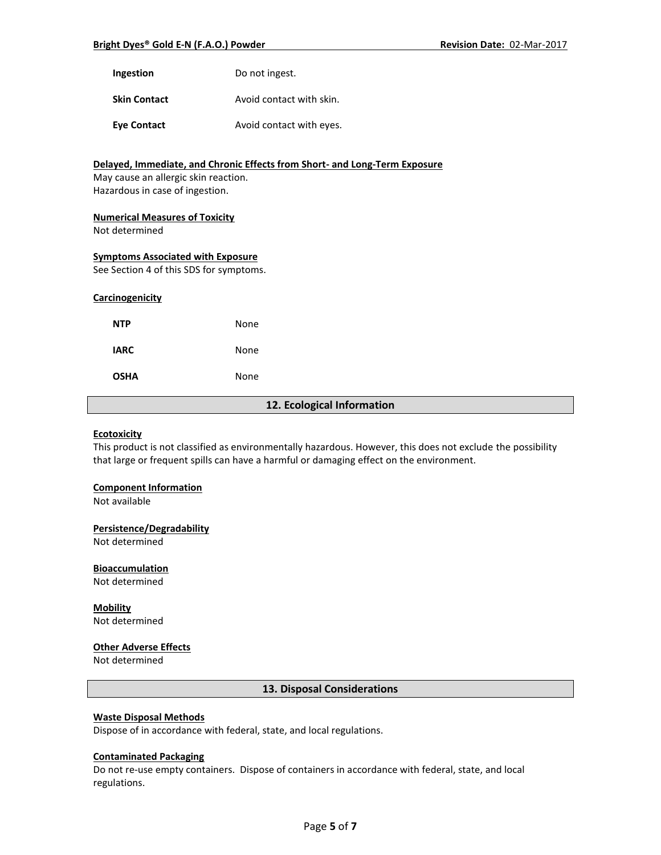| Do not ingest. |
|----------------|
|                |

**Skin Contact Avoid contact with skin.** 

**Eye Contact Avoid contact with eyes.** 

# **Delayed, Immediate, and Chronic Effects from Short- and Long-Term Exposure** May cause an allergic skin reaction. Hazardous in case of ingestion. **Numerical Measures of Toxicity**

Not determined

#### **Symptoms Associated with Exposure**

See Section 4 of this SDS for symptoms.

#### **Carcinogenicity**

| <b>NTP</b>  | None |
|-------------|------|
| <b>IARC</b> | None |
| <b>OSHA</b> | None |

#### **12. Ecological Information**

#### **Ecotoxicity**

This product is not classified as environmentally hazardous. However, this does not exclude the possibility that large or frequent spills can have a harmful or damaging effect on the environment.

#### **Component Information**

Not available

## **Persistence/Degradability**

Not determined

#### **Bioaccumulation**

Not determined

# **Mobility**

Not determined

# **Other Adverse Effects**

Not determined

# **13. Disposal Considerations**

## **Waste Disposal Methods**

Dispose of in accordance with federal, state, and local regulations.

#### **Contaminated Packaging**

Do not re-use empty containers.Dispose of containers in accordance with federal, state, and local regulations.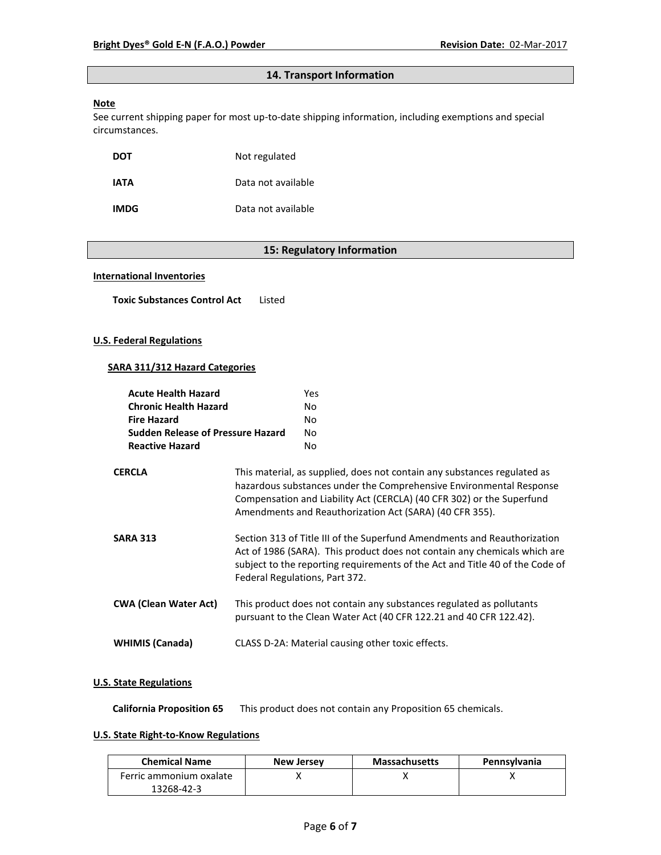# **14. Transport Information**

# **Note**

See current shipping paper for most up-to-date shipping information, including exemptions and special circumstances.

| DOT         | Not regulated      |
|-------------|--------------------|
| IATA        | Data not available |
| <b>IMDG</b> | Data not available |

# **15: Regulatory Information**

#### **International Inventories**

**Toxic Substances Control Act** Listed

# **U.S. Federal Regulations**

## **SARA 311/312 Hazard Categories**

| <b>Acute Health Hazard</b><br><b>Chronic Health Hazard</b><br><b>Fire Hazard</b><br><b>Sudden Release of Pressure Hazard</b><br><b>Reactive Hazard</b> | Yes<br>No.<br>No<br>No.<br>No.                                                                                                                                                                                                                                                      |
|--------------------------------------------------------------------------------------------------------------------------------------------------------|-------------------------------------------------------------------------------------------------------------------------------------------------------------------------------------------------------------------------------------------------------------------------------------|
| <b>CERCLA</b>                                                                                                                                          | This material, as supplied, does not contain any substances regulated as<br>hazardous substances under the Comprehensive Environmental Response<br>Compensation and Liability Act (CERCLA) (40 CFR 302) or the Superfund<br>Amendments and Reauthorization Act (SARA) (40 CFR 355). |
| <b>SARA 313</b>                                                                                                                                        | Section 313 of Title III of the Superfund Amendments and Reauthorization<br>Act of 1986 (SARA). This product does not contain any chemicals which are<br>subject to the reporting requirements of the Act and Title 40 of the Code of<br>Federal Regulations, Part 372.             |
| <b>CWA (Clean Water Act)</b>                                                                                                                           | This product does not contain any substances regulated as pollutants<br>pursuant to the Clean Water Act (40 CFR 122.21 and 40 CFR 122.42).                                                                                                                                          |
| <b>WHIMIS (Canada)</b>                                                                                                                                 | CLASS D-2A: Material causing other toxic effects.                                                                                                                                                                                                                                   |

## **U.S. State Regulations**

**California Proposition 65** This product does not contain any Proposition 65 chemicals.

# **U.S. State Right-to-Know Regulations**

| <b>Chemical Name</b>    | <b>New Jersey</b> | <b>Massachusetts</b> | <b>Pennsylvania</b> |
|-------------------------|-------------------|----------------------|---------------------|
| Ferric ammonium oxalate |                   |                      |                     |
| 13268-42-3              |                   |                      |                     |